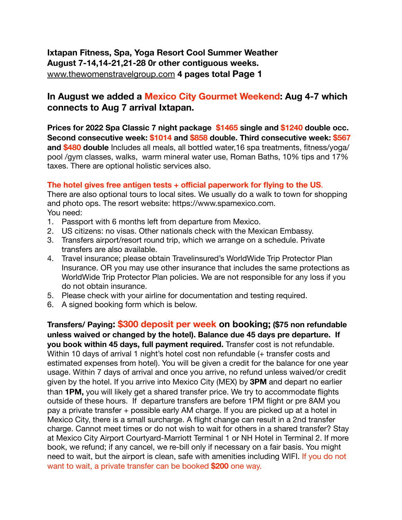**Ixtapan Fitness, Spa, Yoga Resort Cool Summer Weather August 7-14,14-21,21-28 0r other contiguous weeks.**  [www.thewomenstravelgroup.com](http://www.thewomenstravelgroup.com) **4 pages total Page 1** 

## **In August we added a Mexico City Gourmet Weekend: Aug 4-7 which connects to Aug 7 arrival Ixtapan.**

**Prices for 2022 Spa Classic 7 night package \$1465 single and \$1240 double occ. Second consecutive week: \$1014 and \$858 double. Third consecutive week: \$567 and \$480 double** Includes all meals, all bottled water,16 spa treatments, fitness/yoga/ pool /gym classes, walks, warm mineral water use, Roman Baths, 10% tips and 17% taxes. There are optional holistic services also.

## **The hotel gives free antigen tests + official paperwork for flying to the US**.

There are also optional tours to local sites. We usually do a walk to town for shopping and photo ops. The resort website: https://www.spamexico.com. You need:

- 1. Passport with 6 months left from departure from Mexico.
- 2. US citizens: no visas. Other nationals check with the Mexican Embassy.
- 3. Transfers airport/resort round trip, which we arrange on a schedule. Private transfers are also available.
- 4. Travel insurance; please obtain Travelinsured's WorldWide Trip Protector Plan Insurance. OR you may use other insurance that includes the same protections as WorldWide Trip Protector Plan policies. We are not responsible for any loss if you do not obtain insurance.
- 5. Please check with your airline for documentation and testing required.
- 6. A signed booking form which is below.

**Transfers/ Paying: \$300 deposit per week on booking; (\$75 non refundable unless waived or changed by the hotel). Balance due 45 days pre departure. If you book within 45 days, full payment required.** Transfer cost is not refundable. Within 10 days of arrival 1 night's hotel cost non refundable (+ transfer costs and estimated expenses from hotel). You will be given a credit for the balance for one year usage. Within 7 days of arrival and once you arrive, no refund unless waived/or credit given by the hotel. If you arrive into Mexico City (MEX) by **3PM** and depart no earlier than **1PM,** you will likely get a shared transfer price. We try to accommodate flights outside of these hours. If departure transfers are before 1PM flight or pre 8AM you pay a private transfer + possible early AM charge. If you are picked up at a hotel in Mexico City, there is a small surcharge. A flight change can result in a 2nd transfer charge. Cannot meet times or do not wish to wait for others in a shared transfer? Stay at Mexico City Airport Courtyard-Marriott Terminal 1 or NH Hotel in Terminal 2. If more book, we refund; if any cancel, we re-bill only if necessary on a fair basis. You might need to wait, but the airport is clean, safe with amenities including WIFI. If you do not want to wait, a private transfer can be booked **\$200** one way.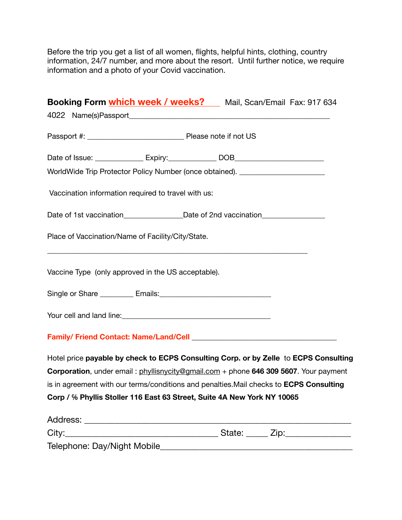Before the trip you get a list of all women, flights, helpful hints, clothing, country information, 24/7 number, and more about the resort. Until further notice, we require information and a photo of your Covid vaccination.

|       |                                                                                                                                                                                                                                | Booking Form <i>which week / weeks?</i> Mail, Scan/Email Fax: 917 634                   |
|-------|--------------------------------------------------------------------------------------------------------------------------------------------------------------------------------------------------------------------------------|-----------------------------------------------------------------------------------------|
|       | 4022 Name(s)Passport and the control of the control of the control of the control of the control of the control of the control of the control of the control of the control of the control of the control of the control of th |                                                                                         |
|       |                                                                                                                                                                                                                                |                                                                                         |
|       |                                                                                                                                                                                                                                |                                                                                         |
|       | WorldWide Trip Protector Policy Number (once obtained). ________________________                                                                                                                                               |                                                                                         |
|       | Vaccination information required to travel with us:                                                                                                                                                                            |                                                                                         |
|       | Date of 1st vaccination_______________________Date of 2nd vaccination____________                                                                                                                                              |                                                                                         |
|       | Place of Vaccination/Name of Facility/City/State.                                                                                                                                                                              |                                                                                         |
|       | Vaccine Type (only approved in the US acceptable).                                                                                                                                                                             |                                                                                         |
|       |                                                                                                                                                                                                                                |                                                                                         |
|       |                                                                                                                                                                                                                                |                                                                                         |
|       |                                                                                                                                                                                                                                |                                                                                         |
|       |                                                                                                                                                                                                                                | Hotel price payable by check to ECPS Consulting Corp. or by Zelle to ECPS Consulting    |
|       |                                                                                                                                                                                                                                | Corporation, under email: phyllisnycity@gmail.com + phone 646 309 5607. Your payment    |
|       |                                                                                                                                                                                                                                | is in agreement with our terms/conditions and penalties. Mail checks to ECPS Consulting |
|       | Corp / % Phyllis Stoller 116 East 63 Street, Suite 4A New York NY 10065                                                                                                                                                        |                                                                                         |
|       |                                                                                                                                                                                                                                |                                                                                         |
| City: |                                                                                                                                                                                                                                | State: _____ Zip: ______________                                                        |

| $\mathsf{v}$                 | $O(10^{-10})$ |  |
|------------------------------|---------------|--|
| Telephone: Day/Night Mobile_ |               |  |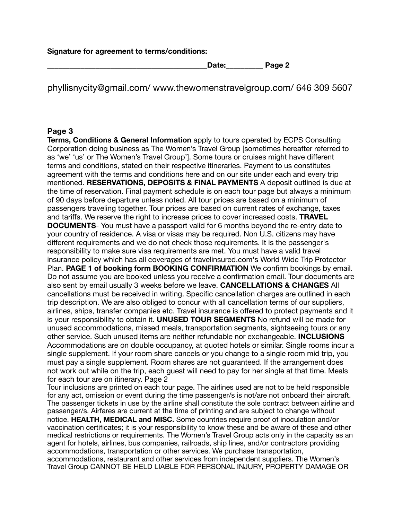**Signature for agreement to terms/conditions:** 

**\_\_\_\_\_\_\_\_\_\_\_\_\_\_\_\_\_\_\_\_\_\_\_\_\_\_\_\_\_\_\_\_\_\_\_\_\_\_\_\_\_\_\_Date:\_\_\_\_\_\_\_\_\_\_ Page 2** 

phyllisnycity@gmail.com/ www.thewomenstravelgroup.com/ 646 309 5607

## **Page 3**

**Terms, Conditions & General Information** apply to tours operated by ECPS Consulting Corporation doing business as The Women's Travel Group [sometimes hereafter referred to as 'we' 'us' or The Women's Travel Group']. Some tours or cruises might have different terms and conditions, stated on their respective itineraries. Payment to us constitutes agreement with the terms and conditions here and on our site under each and every trip mentioned. **RESERVATIONS, DEPOSITS & FINAL PAYMENTS** A deposit outlined is due at the time of reservation. Final payment schedule is on each tour page but always a minimum of 90 days before departure unless noted. All tour prices are based on a minimum of passengers traveling together. Tour prices are based on current rates of exchange, taxes and tariffs. We reserve the right to increase prices to cover increased costs. **TRAVEL DOCUMENTS**- You must have a passport valid for 6 months beyond the re-entry date to your country of residence. A visa or visas may be required. Non U.S. citizens may have different requirements and we do not check those requirements. It is the passenger's responsibility to make sure visa requirements are met. You must have a valid travel insurance policy which has all coverages of travelinsured.com's World Wide Trip Protector Plan. **PAGE 1 of booking form BOOKING CONFIRMATION** We confirm bookings by email. Do not assume you are booked unless you receive a confirmation email. Tour documents are also sent by email usually 3 weeks before we leave. **CANCELLATIONS & CHANGES** All cancellations must be received in writing. Specific cancellation charges are outlined in each trip description. We are also obliged to concur with all cancellation terms of our suppliers, airlines, ships, transfer companies etc. Travel insurance is offered to protect payments and it is your responsibility to obtain it. **UNUSED TOUR SEGMENTS** No refund will be made for unused accommodations, missed meals, transportation segments, sightseeing tours or any other service. Such unused items are neither refundable nor exchangeable. **INCLUSIONS**  Accommodations are on double occupancy, at quoted hotels or similar. Single rooms incur a single supplement. If your room share cancels or you change to a single room mid trip, you must pay a single supplement. Room shares are not guaranteed. If the arrangement does not work out while on the trip, each guest will need to pay for her single at that time. Meals for each tour are on itinerary. Page 2

Tour inclusions are printed on each tour page. The airlines used are not to be held responsible for any act, omission or event during the time passenger/s is not/are not onboard their aircraft. The passenger tickets in use by the airline shall constitute the sole contract between airline and passenger/s. Airfares are current at the time of printing and are subject to change without notice. **HEALTH, MEDICAL and MISC.** Some countries require proof of inoculation and/or vaccination certificates; it is your responsibility to know these and be aware of these and other medical restrictions or requirements. The Women's Travel Group acts only in the capacity as an agent for hotels, airlines, bus companies, railroads, ship lines, and/or contractors providing accommodations, transportation or other services. We purchase transportation, accommodations, restaurant and other services from independent suppliers. The Women's Travel Group CANNOT BE HELD LIABLE FOR PERSONAL INJURY, PROPERTY DAMAGE OR